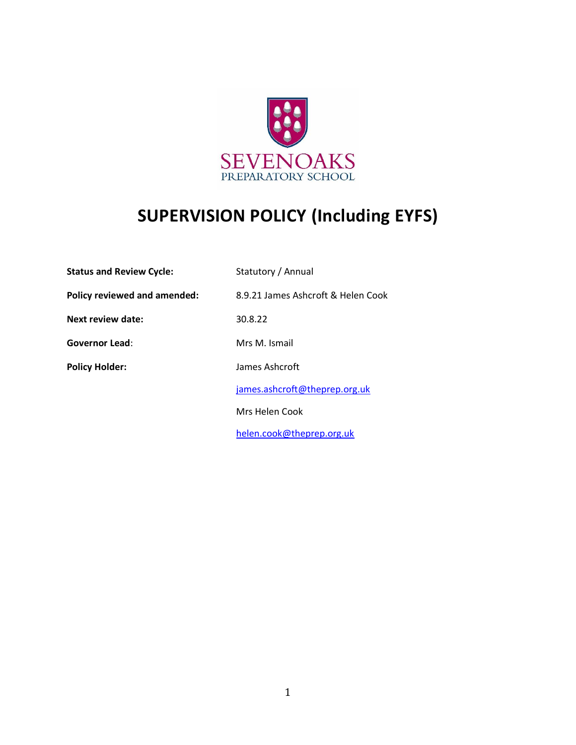

# **SUPERVISION POLICY (Including EYFS)**

| <b>Status and Review Cycle:</b>     | Statutory / Annual                 |
|-------------------------------------|------------------------------------|
| <b>Policy reviewed and amended:</b> | 8.9.21 James Ashcroft & Helen Cook |
| <b>Next review date:</b>            | 30.8.22                            |
| Governor Lead:                      | Mrs M. Ismail                      |
| <b>Policy Holder:</b>               | James Ashcroft                     |
|                                     | james.ashcroft@theprep.org.uk      |
|                                     | Mrs Helen Cook                     |
|                                     | helen.cook@theprep.org.uk          |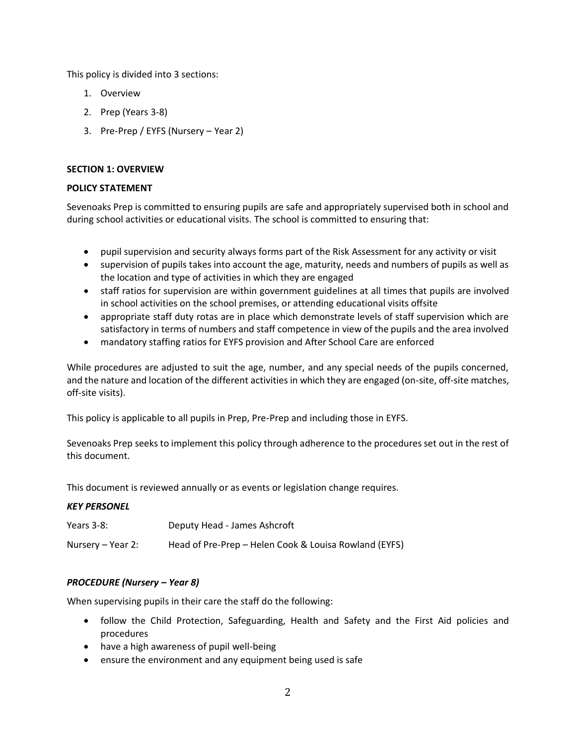This policy is divided into 3 sections:

- 1. Overview
- 2. Prep (Years 3-8)
- 3. Pre-Prep / EYFS (Nursery Year 2)

# **SECTION 1: OVERVIEW**

# **POLICY STATEMENT**

Sevenoaks Prep is committed to ensuring pupils are safe and appropriately supervised both in school and during school activities or educational visits. The school is committed to ensuring that:

- pupil supervision and security always forms part of the Risk Assessment for any activity or visit
- supervision of pupils takes into account the age, maturity, needs and numbers of pupils as well as the location and type of activities in which they are engaged
- staff ratios for supervision are within government guidelines at all times that pupils are involved in school activities on the school premises, or attending educational visits offsite
- appropriate staff duty rotas are in place which demonstrate levels of staff supervision which are satisfactory in terms of numbers and staff competence in view of the pupils and the area involved
- mandatory staffing ratios for EYFS provision and After School Care are enforced

While procedures are adjusted to suit the age, number, and any special needs of the pupils concerned, and the nature and location of the different activities in which they are engaged (on-site, off-site matches, off-site visits).

This policy is applicable to all pupils in Prep, Pre-Prep and including those in EYFS.

Sevenoaks Prep seeks to implement this policy through adherence to the procedures set out in the rest of this document.

This document is reviewed annually or as events or legislation change requires.

## *KEY PERSONEL*

| Years 3-8:        | Deputy Head - James Ashcroft                          |
|-------------------|-------------------------------------------------------|
| Nursery – Year 2: | Head of Pre-Prep – Helen Cook & Louisa Rowland (EYFS) |

# *PROCEDURE (Nursery – Year 8)*

When supervising pupils in their care the staff do the following:

- follow the Child Protection, Safeguarding, Health and Safety and the First Aid policies and procedures
- have a high awareness of pupil well-being
- ensure the environment and any equipment being used is safe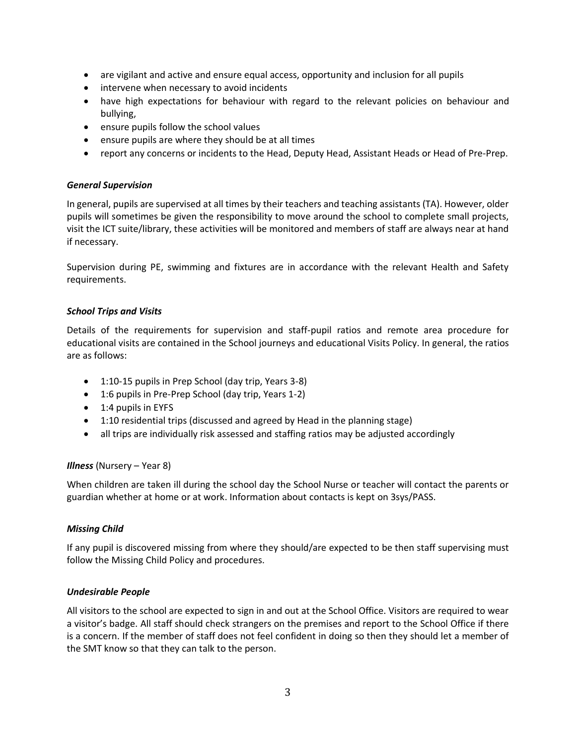- are vigilant and active and ensure equal access, opportunity and inclusion for all pupils
- intervene when necessary to avoid incidents
- have high expectations for behaviour with regard to the relevant policies on behaviour and bullying,
- ensure pupils follow the school values
- ensure pupils are where they should be at all times
- report any concerns or incidents to the Head, Deputy Head, Assistant Heads or Head of Pre-Prep.

#### *General Supervision*

In general, pupils are supervised at all times by their teachers and teaching assistants (TA). However, older pupils will sometimes be given the responsibility to move around the school to complete small projects, visit the ICT suite/library, these activities will be monitored and members of staff are always near at hand if necessary.

Supervision during PE, swimming and fixtures are in accordance with the relevant Health and Safety requirements.

#### *School Trips and Visits*

Details of the requirements for supervision and staff-pupil ratios and remote area procedure for educational visits are contained in the School journeys and educational Visits Policy. In general, the ratios are as follows:

- 1:10-15 pupils in Prep School (day trip, Years 3-8)
- 1:6 pupils in Pre-Prep School (day trip, Years 1-2)
- 1:4 pupils in EYFS
- 1:10 residential trips (discussed and agreed by Head in the planning stage)
- all trips are individually risk assessed and staffing ratios may be adjusted accordingly

## *Illness* (Nursery – Year 8)

When children are taken ill during the school day the School Nurse or teacher will contact the parents or guardian whether at home or at work. Information about contacts is kept on 3sys/PASS.

## *Missing Child*

If any pupil is discovered missing from where they should/are expected to be then staff supervising must follow the Missing Child Policy and procedures.

## *Undesirable People*

All visitors to the school are expected to sign in and out at the School Office. Visitors are required to wear a visitor's badge. All staff should check strangers on the premises and report to the School Office if there is a concern. If the member of staff does not feel confident in doing so then they should let a member of the SMT know so that they can talk to the person.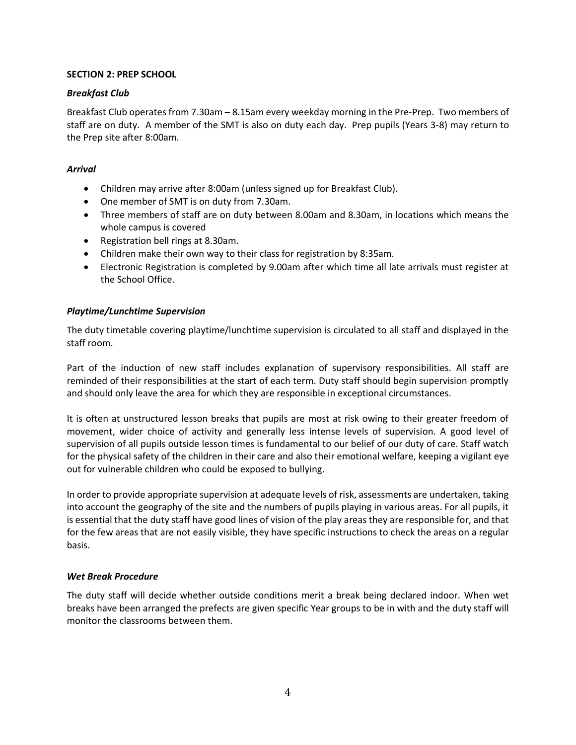## **SECTION 2: PREP SCHOOL**

## *Breakfast Club*

Breakfast Club operates from 7.30am – 8.15am every weekday morning in the Pre-Prep. Two members of staff are on duty. A member of the SMT is also on duty each day. Prep pupils (Years 3-8) may return to the Prep site after 8:00am.

# *Arrival*

- Children may arrive after 8:00am (unless signed up for Breakfast Club).
- One member of SMT is on duty from 7.30am.
- Three members of staff are on duty between 8.00am and 8.30am, in locations which means the whole campus is covered
- Registration bell rings at 8.30am.
- Children make their own way to their class for registration by 8:35am.
- Electronic Registration is completed by 9.00am after which time all late arrivals must register at the School Office.

# *Playtime/Lunchtime Supervision*

The duty timetable covering playtime/lunchtime supervision is circulated to all staff and displayed in the staff room.

Part of the induction of new staff includes explanation of supervisory responsibilities. All staff are reminded of their responsibilities at the start of each term. Duty staff should begin supervision promptly and should only leave the area for which they are responsible in exceptional circumstances.

It is often at unstructured lesson breaks that pupils are most at risk owing to their greater freedom of movement, wider choice of activity and generally less intense levels of supervision. A good level of supervision of all pupils outside lesson times is fundamental to our belief of our duty of care. Staff watch for the physical safety of the children in their care and also their emotional welfare, keeping a vigilant eye out for vulnerable children who could be exposed to bullying.

In order to provide appropriate supervision at adequate levels of risk, assessments are undertaken, taking into account the geography of the site and the numbers of pupils playing in various areas. For all pupils, it is essential that the duty staff have good lines of vision of the play areas they are responsible for, and that for the few areas that are not easily visible, they have specific instructions to check the areas on a regular basis.

# *Wet Break Procedure*

The duty staff will decide whether outside conditions merit a break being declared indoor. When wet breaks have been arranged the prefects are given specific Year groups to be in with and the duty staff will monitor the classrooms between them.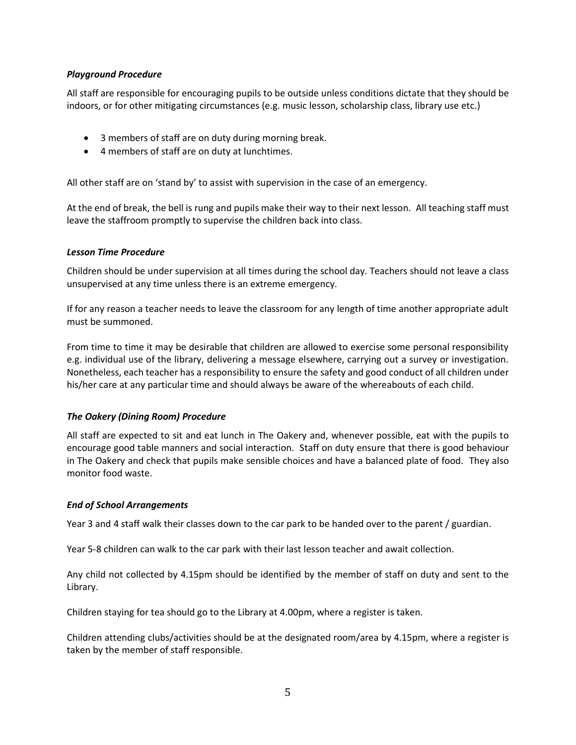## *Playground Procedure*

All staff are responsible for encouraging pupils to be outside unless conditions dictate that they should be indoors, or for other mitigating circumstances (e.g. music lesson, scholarship class, library use etc.)

- 3 members of staff are on duty during morning break.
- 4 members of staff are on duty at lunchtimes.

All other staff are on 'stand by' to assist with supervision in the case of an emergency.

At the end of break, the bell is rung and pupils make their way to their next lesson. All teaching staff must leave the staffroom promptly to supervise the children back into class.

## *Lesson Time Procedure*

Children should be under supervision at all times during the school day. Teachers should not leave a class unsupervised at any time unless there is an extreme emergency.

If for any reason a teacher needs to leave the classroom for any length of time another appropriate adult must be summoned.

From time to time it may be desirable that children are allowed to exercise some personal responsibility e.g. individual use of the library, delivering a message elsewhere, carrying out a survey or investigation. Nonetheless, each teacher has a responsibility to ensure the safety and good conduct of all children under his/her care at any particular time and should always be aware of the whereabouts of each child.

# *The Oakery (Dining Room) Procedure*

All staff are expected to sit and eat lunch in The Oakery and, whenever possible, eat with the pupils to encourage good table manners and social interaction. Staff on duty ensure that there is good behaviour in The Oakery and check that pupils make sensible choices and have a balanced plate of food. They also monitor food waste.

## *End of School Arrangements*

Year 3 and 4 staff walk their classes down to the car park to be handed over to the parent / guardian.

Year 5-8 children can walk to the car park with their last lesson teacher and await collection.

Any child not collected by 4.15pm should be identified by the member of staff on duty and sent to the Library.

Children staying for tea should go to the Library at 4.00pm, where a register is taken.

Children attending clubs/activities should be at the designated room/area by 4.15pm, where a register is taken by the member of staff responsible.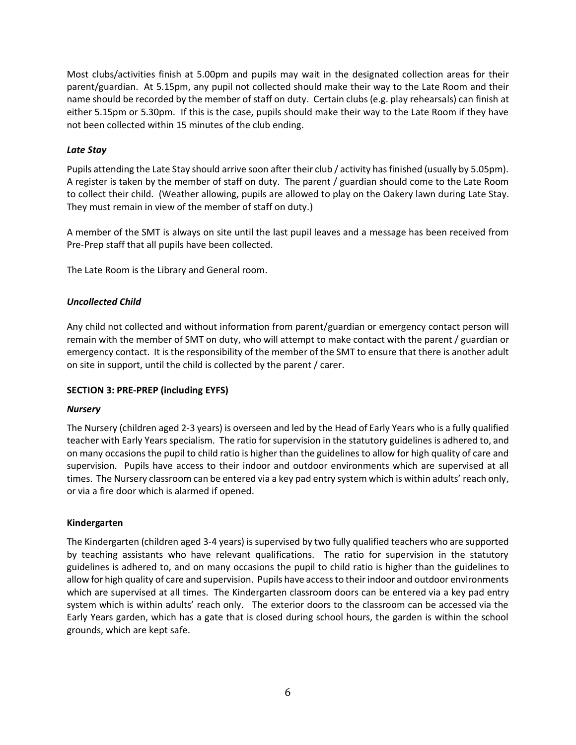Most clubs/activities finish at 5.00pm and pupils may wait in the designated collection areas for their parent/guardian. At 5.15pm, any pupil not collected should make their way to the Late Room and their name should be recorded by the member of staff on duty. Certain clubs (e.g. play rehearsals) can finish at either 5.15pm or 5.30pm. If this is the case, pupils should make their way to the Late Room if they have not been collected within 15 minutes of the club ending.

## *Late Stay*

Pupils attending the Late Stay should arrive soon after their club / activity has finished (usually by 5.05pm). A register is taken by the member of staff on duty. The parent / guardian should come to the Late Room to collect their child. (Weather allowing, pupils are allowed to play on the Oakery lawn during Late Stay. They must remain in view of the member of staff on duty.)

A member of the SMT is always on site until the last pupil leaves and a message has been received from Pre-Prep staff that all pupils have been collected.

The Late Room is the Library and General room.

## *Uncollected Child*

Any child not collected and without information from parent/guardian or emergency contact person will remain with the member of SMT on duty, who will attempt to make contact with the parent / guardian or emergency contact. It is the responsibility of the member of the SMT to ensure that there is another adult on site in support, until the child is collected by the parent / carer.

## **SECTION 3: PRE-PREP (including EYFS)**

## *Nursery*

The Nursery (children aged 2-3 years) is overseen and led by the Head of Early Years who is a fully qualified teacher with Early Years specialism. The ratio for supervision in the statutory guidelines is adhered to, and on many occasions the pupil to child ratio is higher than the guidelines to allow for high quality of care and supervision. Pupils have access to their indoor and outdoor environments which are supervised at all times. The Nursery classroom can be entered via a key pad entry system which is within adults' reach only, or via a fire door which is alarmed if opened.

## **Kindergarten**

The Kindergarten (children aged 3-4 years) is supervised by two fully qualified teachers who are supported by teaching assistants who have relevant qualifications. The ratio for supervision in the statutory guidelines is adhered to, and on many occasions the pupil to child ratio is higher than the guidelines to allow for high quality of care and supervision. Pupils have access to their indoor and outdoor environments which are supervised at all times. The Kindergarten classroom doors can be entered via a key pad entry system which is within adults' reach only. The exterior doors to the classroom can be accessed via the Early Years garden, which has a gate that is closed during school hours, the garden is within the school grounds, which are kept safe.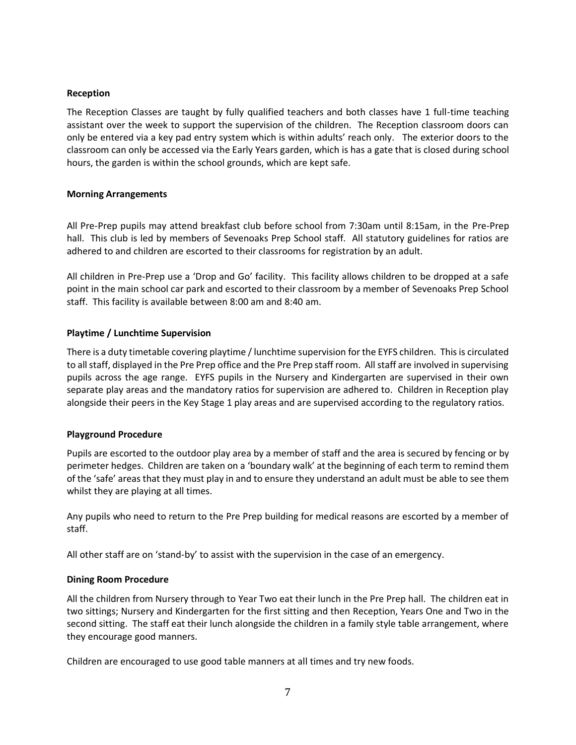#### **Reception**

The Reception Classes are taught by fully qualified teachers and both classes have 1 full-time teaching assistant over the week to support the supervision of the children. The Reception classroom doors can only be entered via a key pad entry system which is within adults' reach only. The exterior doors to the classroom can only be accessed via the Early Years garden, which is has a gate that is closed during school hours, the garden is within the school grounds, which are kept safe.

#### **Morning Arrangements**

All Pre-Prep pupils may attend breakfast club before school from 7:30am until 8:15am, in the Pre-Prep hall. This club is led by members of Sevenoaks Prep School staff.All statutory guidelines for ratios are adhered to and children are escorted to their classrooms for registration by an adult.

All children in Pre-Prep use a 'Drop and Go' facility. This facility allows children to be dropped at a safe point in the main school car park and escorted to their classroom by a member of Sevenoaks Prep School staff. This facility is available between 8:00 am and 8:40 am.

## **Playtime / Lunchtime Supervision**

There is a duty timetable covering playtime / lunchtime supervision for the EYFS children. This is circulated to all staff, displayed in the Pre Prep office and the Pre Prep staff room. All staff are involved in supervising pupils across the age range. EYFS pupils in the Nursery and Kindergarten are supervised in their own separate play areas and the mandatory ratios for supervision are adhered to. Children in Reception play alongside their peers in the Key Stage 1 play areas and are supervised according to the regulatory ratios.

## **Playground Procedure**

Pupils are escorted to the outdoor play area by a member of staff and the area is secured by fencing or by perimeter hedges. Children are taken on a 'boundary walk' at the beginning of each term to remind them of the 'safe' areas that they must play in and to ensure they understand an adult must be able to see them whilst they are playing at all times.

Any pupils who need to return to the Pre Prep building for medical reasons are escorted by a member of staff.

All other staff are on 'stand-by' to assist with the supervision in the case of an emergency.

## **Dining Room Procedure**

All the children from Nursery through to Year Two eat their lunch in the Pre Prep hall. The children eat in two sittings; Nursery and Kindergarten for the first sitting and then Reception, Years One and Two in the second sitting. The staff eat their lunch alongside the children in a family style table arrangement, where they encourage good manners.

Children are encouraged to use good table manners at all times and try new foods.